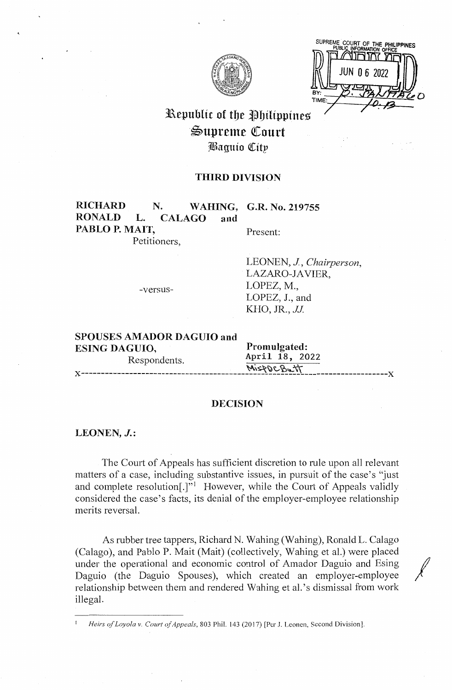

SUPREME COURT OF THE PHILIPP TIME

# Republic of the Philippines ~upren1e QCourt ~aguio QCitp

#### **THIRD DIVISION**

## RICHARD N. WAHING, G.R. No. 219755<br>RONALD L. CALAGO and L. **CALAGO** and PABLO P. MAIT, Present:

Petitioners,

-versus-

LEONEN, J, *Chairperson,*  LAZARO-JAVIER, LOPEZ, M., LOPEZ, J., and KHO, JR., *JJ*.

| <b>SPOUSES AMADOR DAGUIO and</b> |                |
|----------------------------------|----------------|
| <b>ESING DAGUIO.</b>             | Promulgated:   |
| Respondents.                     | April 18, 2022 |
|                                  | MispDCBatt     |

#### **DECISION**

#### **LEONEN, J.:**

The Court of Appeals has sufficient discretion to rule upon all relevant matters of a case, including substantive issues, in pursuit of the case's "just and complete resolution $[.]$ " However, while the Court of Appeals validly considered the case's facts, its denial of the employer-employee relationship merits reversal.

As rubber tree tappers, Richard N. Wahing (Wahing), Ronald L. Calago (Calago), and Pablo P. Mait (Mait) (collectively, Wahing et al.) were placed under the operational and economic control of Amador Daguio and Esing Daguio (the Daguio Spouses), which created an employer-employee relationship between them and rendered Wahing et al.'s dismissal from work illegal.

<sup>1</sup>*Heirs of Loyola v. Court of Appeals,* 803 Phil. 143 (2017) [Per J. Leonen, Second Division].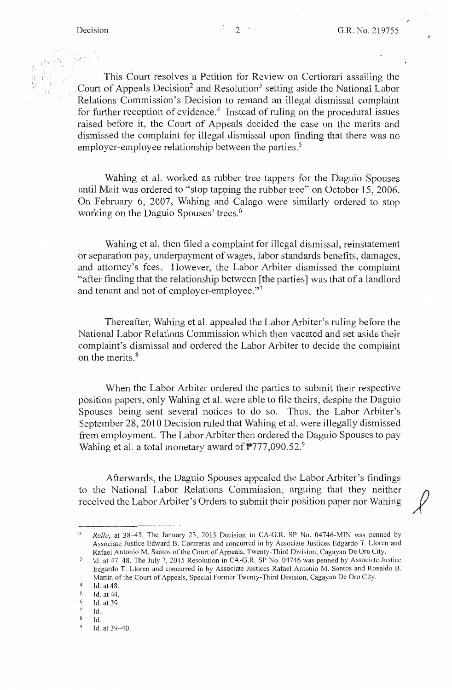This Court resolves a Petition for Review on Certiorari assailing the Court of Appeals Decision<sup>2</sup> and Resolution<sup>3</sup> setting aside the National Labor Relations Commission's Decision to remand an illegal dismissal complaint for further reception of evidence.<sup>4</sup> Instead of ruling on the procedural issues raised before it, the Court of Appeals decided the case on the merits and dismissed the complaint for illegal dismissal upon finding that there was no employer-employee relationship between the parties.<sup>5</sup>

Wahing et al. worked as rubber tree tappers for the Daguio Spouses until Mait was ordered to "stop tapping the rubber tree" on October 15, 2006. On February 6, 2007, Wahing and Calago were similarly ordered to stop working on the Daguio Spouses' trees.<sup>6</sup>

Wahing et al. then filed a complaint for illegal dismissal, reinstatement or separation pay, underpayment of wages, labor standards benefits, damages, and attorney's fees. However, the Labor Arbiter dismissed the complaint "after finding that the relationship between [the parties] was that of a landlord and tenant and not of employer-employee."<sup>7</sup>

Thereafter, Wahing et al. appealed the Labor Arbiter's ruling before the National Labor Relations Commission which then vacated and set aside their complaint's dismissal and ordered the Labor Arbiter to decide the complaint on the merits.<sup>8</sup>

When the Labor Arbiter ordered the parties to submit their respective position papers, only Wahing et al. were able to file theirs, despite the Daguio Spouses being sent several notices to do so. Thus, the Labor Arbiter's September 28, 2010 Decision ruled that Wahing et al. were illegally dismissed from employment. The Labor Arbiter then ordered the Daguio Spouses to pay Wahing et al. a total monetary award of P777,090.52.9

Afterwards, the Daguio Spouses appealed the Labor Arbiter's findings to the National Labor Relations Commission, arguing that they neither received the Labor Arbiter's Orders to submit their position paper nor Wahing

<sup>2</sup>*Rollo,* at 38-45. The January 23, 2015 Decision in CA-G.R. **SP** No. 04746-MIN was penned by Associate Justice Edward B. Contreras and concurred in by Associate Justices Edgardo T. Lloren and Rafael Antonio M. Santos of the Court of Appeals, Twenty-Third Division, Cagayan De Oro City.

 $\mathfrak z$ Id. at 47-48. The July 7, 2015 Resolution in CA-G.R. SP No. 04746 was penned by Associate Justice Edgardo T. Lloren and concurred in by Associate Justices Rafael Antonio M. Santos and Ronaldo B. Martin of the Court of Appeals, Special Former Twenty-Third Division, Cagayan De Oro City.

 $^{4}$  Id. at 48.

*<sup>5</sup>* Id. at 44.

 $\frac{6}{7}$  Id. at 39. Id.

 $\boldsymbol{8}$ Id.

<sup>9</sup> Id. at 39-40.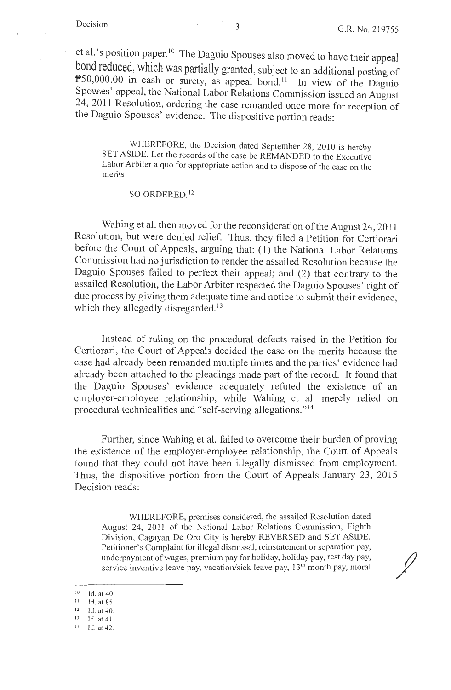et al.'s position paper.<sup>10</sup> The Daguio Spouses also moved to have their appeal bond reduced, which was partially granted, subject to an additional posting of  $P50,000.00$  in cash or surety, as appeal bond.<sup>11</sup> In view of the Daguio Spouses' appeal, the National Labor Relations Commission issued an August 24, 2011 Resolution, ordering the case remanded once more for reception of the Daguio Spouses' evidence. The dispositive portion reads:

WHEREFORE, the Decision dated September 28, 2010 is hereby SET ASIDE. Let the records of the case be REMANDED to the Executive Labor Arbiter a quo for appropriate action and to dispose of the case on the merits.

SO ORDERED. <sup>12</sup>

Wahing et al. then moved for the reconsideration of the August 24, 2011 Resolution, but were denied relief. Thus, they filed a Petition for Certiorari before the Court of Appeals, arguing that: (1) the National Labor Relations Commission had no jurisdiction to render the assailed Resolution because the Daguio Spouses failed to perfect their appeal; and (2) that contrary to the assailed Resolution, the Labor Arbiter respected the Daguio Spouses' right of due process by giving them adequate time and notice to submit their evidence, which they allegedly disregarded.<sup>13</sup>

Instead of ruling on the procedural defects raised in the Petition for Certiorari, the Court of Appeals decided the case on the merits because the case had already been remanded multiple times and the parties' evidence had already been attached to the pleadings made part of the record. It found that the Daguio Spouses' evidence adequately refuted the existence of an employer-employee relationship, while Wahing et al. merely relied on procedural technicalities and "self-serving allegations." <sup>14</sup>

Further, since Wahing et al. failed to overcome their burden of proving the existence of the employer-employee relationship, the Court of Appeals found that they could not have been illegally dismissed from employment. Thus, the dispositive portion from the Court of Appeals January 23, 2015 Decision reads:

WHEREFORE, premises considered, the assailed Resolution dated August 24, 2011 of the National Labor Relations Commission, Eighth Division, Cagayan De Oro City is hereby REVERSED and SET ASIDE. Petitioner's Complaint for illegal dismissal, reinstatement or separation pay, underpayment of wages, premium pay for holiday, holiday pay, rest day pay, service inventive leave pay, vacation/sick leave pay,  $13<sup>th</sup>$  month pay, moral

14 Id. at 42.

 $10$  Id. at 40.

Id. at 85.

 $12$  Id. at 40.

 $\frac{13}{14}$  Id. at 41.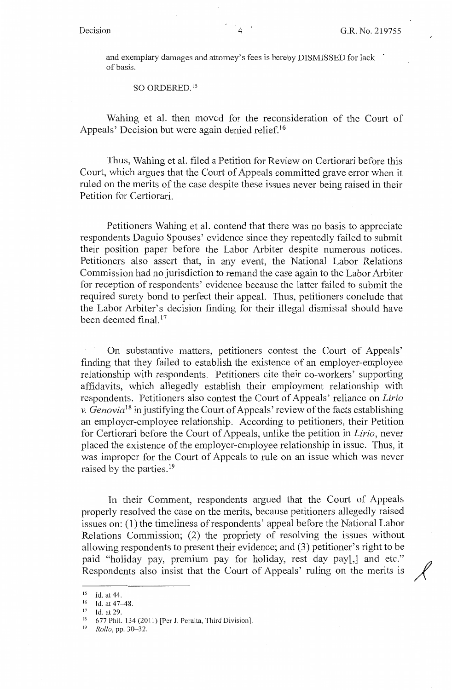and exemplary damages and attorney's fees is hereby DISMISSED for lack of basis.

SO ORDERED. <sup>15</sup>

Wahing et al. then moved for the reconsideration of the Court of Appeals' Decision but were again denied relief.<sup>16</sup>

Thus, Wahing et al. filed a Petition for Review on Certiorari before this Court, which argues that the Court of Appeals committed grave error when it ruled on the merits of the case despite these issues never being raised in their Petition for Certiorari.

Petitioners Wahing et al. contend that there was no basis to appreciate respondents Daguio Spouses' evidence since they repeatedly failed to submit their position paper before the Labor Arbiter despite numerous notices. Petitioners also assert that, in any event, the National Labor Relations Commission had no jurisdiction to remand the case again to the Labor Arbiter for reception of respondents' evidence because the latter failed to submit the required surety bond to perfect their appeal. Thus, petitioners conclude that the Labor Arbiter's decision finding for their illegal dismissal should have been deemed final. 17

On substantive matters, petitioners contest the Court of Appeals' finding that they failed to establish the existence of an employer-employee relationship with respondents. Petitioners cite their co-workers' supporting affidavits, which allegedly establish their employment relationship with respondents. Petitioners also contest the Court of Appeals' reliance on *Lirio v. Genovia*<sup>18</sup> in justifying the Court of Appeals' review of the facts establishing an employer-employee relationship. According to petitioners, their Petition for Certiorari before the Court of Appeals, unlike the petition in *Lirio,* never placed the existence of the employer-employee relationship in issue. Thus, it was improper for the Court of Appeals to rule on an issue which was never raised by the parties.<sup>19</sup>

In their Comment, respondents argued that the Court of Appeals properly resolved the case on the merits, because petitioners allegedly raised issues on: ( 1) the timeliness of respondents' appeal before the National Labor Relations Commission; (2) the propriety of resolving the issues without allowing respondents to present their evidence; and (3) petitioner's right to be paid "holiday pay, premium pay for holiday, rest day pay[,] and etc." anowing respondents to present their evidence, and (3) perfected stright to be<br>paid "holiday pay, premium pay for holiday, rest day pay[,] and etc."<br>Respondents also insist that the Court of Appeals' ruling on the merits

<sup>&</sup>lt;sup>15</sup> Id. at 44.<br><sup>16</sup> Id. at 47–48.

 $17$  Id. at 29.

<sup>&</sup>lt;sup>18</sup> 677 Phil. 134 (2011) [Per J. Peralta, Third Division].<br><sup>19</sup> *Pollo* pp. 30.32

<sup>19</sup> *Rollo,* pp. 30-32.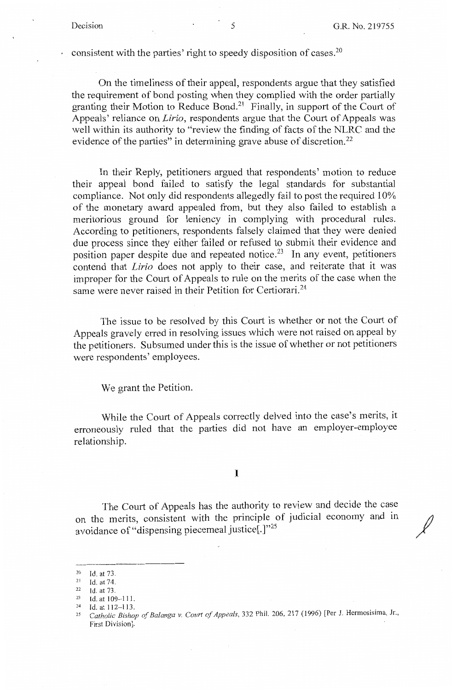.<br>مهر

consistent with the parties' right to speedy disposition of cases.20

On the timeliness of their appeal, respondents argue that they satisfied the requirement of bond posting when they complied with the order partially granting their Motion to Reduce Bond.21 Finally, in support of the Court of Appeals' reliance on *Lirio,* respondents argue that the Court of Appeals was well within its authority to "review the finding of facts of the NLRC and the evidence of the parties" in determining grave abuse of discretion.<sup>22</sup>

In their Reply, petitioners argued that respondents' motion to reduce their appeal bond failed to satisfy the legal standards for substantial compliance. Not only did respondents allegedly fail to post the required 10% of the monetary award appealed from, but they also failed to establish a meritorious ground for leniency in complying with procedural rules. According to petitioners, respondents falsely claimed that they were denied due process since they either failed or refused to submit their evidence and position paper despite due and repeated notice.<sup>23</sup> In any event, petitioners contend that *Lirio* does not apply to their case, and reiterate that it was improper for the Court of Appeals to rule on the merits of the case when the same were never raised in their Petition for Certiorari.<sup>24</sup>

The issue to be resolved by this Court is whether or not the Court of Appeals gravely erred in resolving issues which were not raised on appeal by the petitioners. Subsumed under this is the issue of whether or not petitioners were respondents' employees.

We grant the Petition.

While the Court of Appeals correctly delved into the case's merits, it erroneously ruled that the parties did not have an employer-employee relationship.

I

The Court of Appeals has the authority to review and decide the case on the merits, consistent with the principle of judicial economy and in avoidance of "dispensing piecemeal justice[.]"<sup>25</sup>

<sup>20</sup> Id.at73.

<sup>&</sup>lt;sup>21</sup> Id. at 74.<br><sup>22</sup> Id. at 73.

<sup>23</sup> Id. at 109-111. 24 Id. at 112-l 13. 25 *Catholic Bishop of Balanga v. Court of Appeals,* 332 Phil. 206, 217 (1996) [Per J. Hermosisima, Jr., First Division].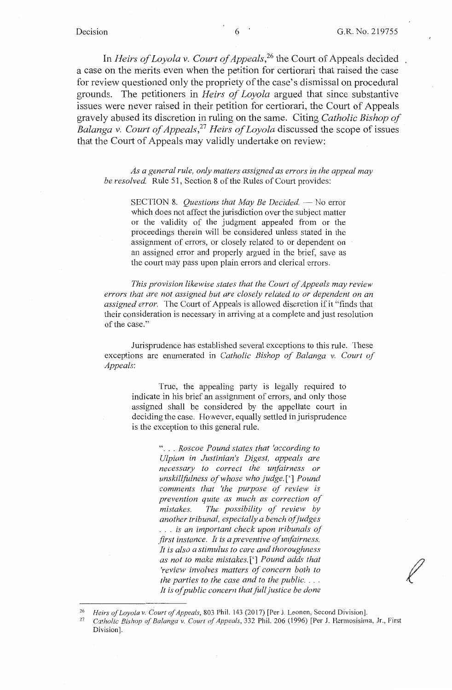*f* 

In *Heirs of Loyola v. Court of Appeals* , 26 the Court of Appeals decided a case on the merits even when the petition for certiorari that raised the case for review questioned only the propriety of the case's dismissal on procedural grounds. The petitioners in *Heirs of Loyola* argued that since substantive issues were never raised in their petition for certiorari, the Court of Appeals gravely abused its discretion in ruling on the same. Citing *Catholic Bishop of Balanga v. Court of Appeals* , <sup>27</sup>*Heirs of Loyola* discussed the scope of issues that the Court of Appeals may validly undertake on review:

*As a general rule, only matters assigned as errors in the appeal may be resolved.* Rule 51, Section 8 of the Rules of Court provides:

> SECTION 8. *Questions that May Be Decided.* - No error which does not affect the jurisdiction over the subject matter or the validity of the judgment appealed from or the proceedings therein will be considered unless stated in the assignment of errors, or closely related to or dependent on an assigned error and properly argued in the brief, save as the court may pass upon plain errors and clerical errors.

*This provision likewise states that the Court of Appeals may review errors that are not assigned but are closely related to or dependent on an assigned error.* The Court of Appeals is allowed discretion if it "finds that their consideration is necessary in arriving at a complete and just resolution of the case."

Jurisprudence has established several exceptions to this rule. These exceptions are enumerated in *Catholic Bishop of Balanga v. Court of Appeals:* 

> True, the appealing party is legally required to indicate in his brief an assignment of errors, and only those assigned shall be considered by the appellate court in deciding the case. However, equally settled in jurisprudence is the exception to this general rule.

> > " ... *Roscoe Pound states that 'according to Ulpian in Justinian's Digest, appeals are necessary to correct the unfairness or unskillfulness of whose who judge.['] Pound comments that 'the purpose of review is prevention quite as much as correction of mistakes. The possibility of review by another tribunal, especially a bench ofjudges*  ... *is an important check upon tribunals of first instance. It is a preventive of unfairness. It is also a stimulus to care and thoroughness as not to make mistakes.['] Pound adds that 'review involves matters of concern both to the parties to the case and to the public .* ... It is of public concern that full justice be done

<sup>26</sup> Heirs of Loyola v. Court of Appeals, 803 Phil. 143 (2017) [Per J. Leonen, Second Division].<br><sup>27</sup> *Catholic Bishop of Balanga v. Court of Appeals*, 332 Phil. 206 (1996) [Per J. Hermosisima, Jr., First Division].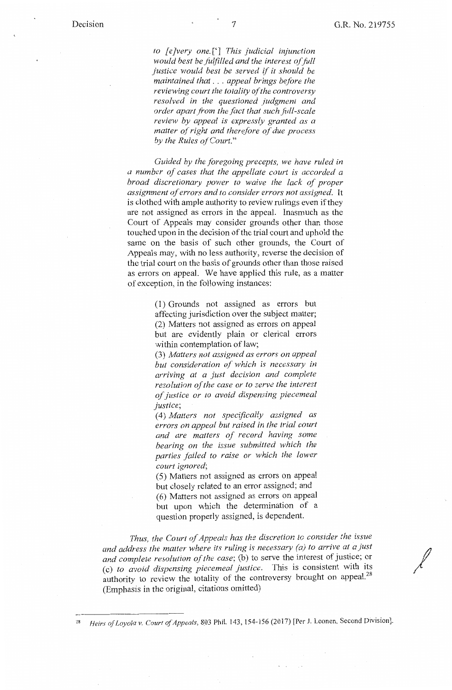*to [e ]very one.['] This judicial injunction would best be fulfilled and the interest of full justice would best be served* if *it should be maintained that* ... *appeal brings before the reviewing court the totality of the controversy resolved in the questioned judgment and order apart from the fact that such full-scale review by appeal is expressly granted as a matter of right and therefore of due process by the Rules of Court."* 

*Guided by the foregoing precepts, vve have ruled in a number of cases that the appellate court is accorded a broad discretionary power to waive the lack of proper assignment of errors and to consider errors not assigned.* It is clothed with ample authority to review rulings even if they are not assigned as errors in the appeal. Inasmuch as the Court of Appeals may consider grounds other than those touched upon in the decision of the trial court and uphold the same on the basis of such other grounds, the Court of Appeals may, with no less authority, reverse the decision of the trial court on the basis of grounds other than those raised as errors on appeal. We have applied this rule, as a matter of exception, in the following instances:

> (1) Grounds not assigned as errors but affecting jurisdiction over the subject matter; (2) Matters not assigned as errors on appeal but are evidently plain or clerical errors within contemplation of law;

> (3) *Matters not assigned as errors on appeal but consideration of which is necessary in arriving at a just decision and complete resolution of the case or to serve the interest of justice or to avoid dispensing piecemeal justice;*

( 4) *Matters not specifically assigned as errors on appeal but raised in the trial court and are matters of record having some bearing on the issue submitted which the parties failed to raise or which the lower court ignored;* 

( 5) Matters not assigned as errors on appeal but closely related to an error assigned; and ( 6) Matters not assigned as errors on appeal but upon which the determination of a question properly assigned, is dependent.

*Thus, the Court of Appeals has the discretion to consider the issue and address the matter where its ruling is necessary (a) to arrive at a just and complete resolution of the case;* (b) to serve the interest of justice; or (c) to avoid dispensing piecemeal justice. This is consistent with its authority to review the totality of the controversy brought on appeal.<sup>28</sup> (Emphasis in the original, citations omitted)

Heirs of Loyola v. Court of Appeals, 803 Phil. 143, 154-156 (2017) [Per J. Leonen, Second Division].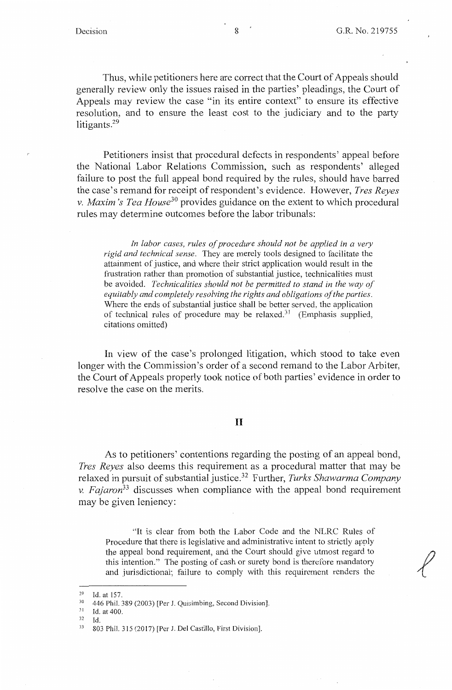Thus, while petitioners here are correct that the Court of Appeals should generally review only the issues raised in the parties' pleadings, the Court of Appeals may review the case "in its entire context" to ensure its effective resolution, and to ensure the least cost to the judiciary and to the party litigants.<sup>29</sup>

Petitioners insist that procedural defects in respondents' appeal before the National Labor Relations Commission, such as respondents' alleged failure to post the full appeal bond required by the rules, should have barred the case's remand for receipt of respondent's evidence. However, *Tres Reyes v. Maxim 's Tea House30* provides guidance on the extent to which procedural rules may determine outcomes before the labor tribunals:

In labor cases, rules of procedure should not be applied in a very *rigid and technical sense.* They are merely tools designed to facilitate the attainment of justice, and where their strict application would result in the frustration rather than promotion of substantial justice, technicalities must be avoided. *Technicalities should not be permitted to stand in the way of equitably and completely resolving the rights and obligations ofthe parties.*  Where the ends of substantial justice shall be better served, the application of technical rules of procedure may be relaxed.<sup>31</sup> (Emphasis supplied, citations omitted)

In view of the case's prolonged litigation, which stood to take even longer with the Commission's order of a second remand to the Labor Arbiter, the Court of Appeals properly took notice of both parties' evidence in order to resolve the case on the merits.

#### II

As to petitioners' contentions regarding the posting of an appeal bond, *Tres Reyes* also deems this requirement as a procedural matter that may be relaxed in pursuit of substantial justice.32 Further, *Turks Shawarma Company*  v. *Fajaron33* discusses when compliance with the appeal bond requirement may be given leniency:

"It is clear from both the Labor Code and the NLRC Rules of Procedure that there is legislative and administrative intent to strictly apply the appeal bond requirement, and the Court should give utmost regard to this intention." The posting of cash or surety bond is therefore mandatory and jurisdictional; failure to comply with this requirement renders the

32 Id.

<sup>&</sup>lt;sup>29</sup> Id. at 157.<br><sup>30</sup> 446 Phil. 389 (2003) [Per J. Quisimbing, Second Division].<br><sup>31</sup> Id. at 400.

 $^{31}$  Id. at 400.<br> $^{32}$  Id

<sup>33 803</sup> Phil. 315 (2017) [Per J. Del Castillo, First Division].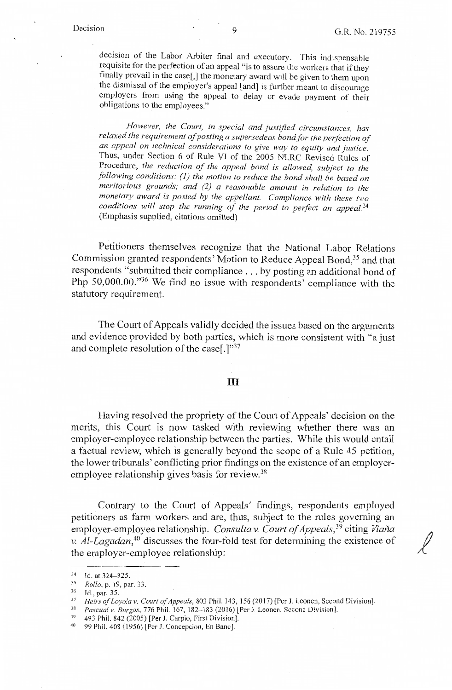decision of the Labor Arbiter final and executory. This indispensable requisite for the perfection of an appeal "is to assure the workers that if they finally prevail in the case[,] the monetary award will be given to them upon the dismissal of the employer's appeal [and] is further meant to discourage employers from using the appeal to delay or evade payment of their obligations to the employees."

However, the Court, in special and justified circumstances, has *relaxed the requirement of posting a supersedeas bond for the perfection of an appeal on technical considerations to give way to equity and justice.*  Thus, under Section 6 of Rule VI of the 2005 NLRC Revised Rules of Procedure, *the reduction of the appeal bond is allowed, subject to the following conditions: (1) the motion to reduce the bond shall be based on meritorious grounds; and (2) a reasonable amount in relation to the monetary award is posted by the appellant. Compliance with these two*  conditions will stop the running of the period to perfect an appeal.<sup>34</sup> (Emphasis supplied, citations omitted)

Petitioners themselves recognize that the National Labor Relations Commission granted respondents' Motion to Reduce Appeal Bond,<sup>35</sup> and that respondents "submitted their compliance ... by posting an additional bond of Php 50,000.00."36 We find no issue with respondents' compliance with the statutory requirement.

The Court of Appeals validly decided the issues based on the arguments and evidence provided by both parties, which is more consistent with "a just and complete resolution of the case[.]"37

#### III

Having resolved the propriety of the Court of Appeals' decision on the merits, this Court is now tasked with reviewing whether there was an employer-employee relationship between the parties. While this would entail a factual review, which is generally beyond the scope of a Rule 45 petition, the lower tribunals' conflicting prior findings on the existence of an employeremployee relationship gives basis for review.<sup>38</sup>

Contrary to the Court of Appeals' findings, respondents employed petitioners as farm workers and are, thus, subject to the rules governing an employer-employee relationship. *Consulta v. Court of Appeals*,<sup>39</sup> citing *Viaña v. Al-Lagadan*,<sup>40</sup> discusses the four-fold test for determining the existence of function the employer-employee relationship:

<sup>34</sup> Id. at 324-325. 35 *Rollo,p.* 19,par.33. 36 Id., par. 35.

<sup>&</sup>lt;sup>37</sup> Heirs of Loyola v. Court of Appeals, 803 Phil. 143, 156 (2017) [Per J. Leonen, Second Division].<br><sup>38</sup> Pascual v. Burgos, 776 Phil. 167, 182–183 (2016) [Per J. Leonen, Second Division].<br><sup>39</sup> 493 Phil. 842 (2005) [Per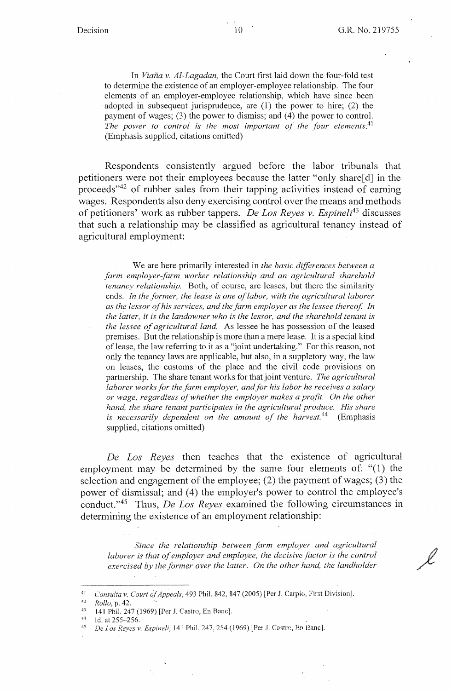In *Viana v. Al-Lagadan,* the Court first laid down the four-fold test to determine the existence of an employer-employee relationship. The four elements of an employer-employee relationship, which have since been adopted in subsequent jurisprudence, are (1) the power to hire; (2) the payment of wages; (3) the power to dismiss; and (4) the power to control. *The power to control is the most important of the four elements.*<sup>41</sup> (Emphasis supplied, citations omitted)

Respondents consistently argued before the labor tribunals that petitioners were not their employees because the latter "only share[d] in the proceeds"42 of rubber sales from their tapping activities instead of earning wages. Respondents also deny exercising control over the means and methods of petitioners' work as rubber tappers. *De Los Reyes v. Espineli43* discusses that such a relationship may be classified as agricultural tenancy instead of agricultural employment:

We are here primarily interested in *the basic differences between a farm employer-farm worker relationship and an agricultural sharehold tenancy relationship.* Both, of course, are leases, but there the similarity ends. *In the former, the lease is one of labor, with the agricultural laborer as the lessor of his services, and the farm employer as the lessee thereof. In the latter, it is the landowner who is the lessor, and the sharehold tenant is the lessee of agricultural land.* As lessee he has possession of the leased premises. But the relationship is more than a mere lease. It is a special kind of lease, the law referring to it as a "joint undertaking." For this reason, not only the tenancy laws are applicable, but also, in a suppletory way, the law on leases, the customs of the place and the civil code provisions on partnership. The share tenant works for that joint venture. *The agricultural*  laborer works for the farm employer, and for his labor he receives a salary *or wage, regardless of whether the employer makes a profit. On the other hand, the share tenant participates in the agricultural produce. His share is necessarily dependent on the amount of the harvest.*<sup>44</sup> (Emphasis supplied, citations omitted)

*De Los Reyes* then teaches that the existence of agricultural employment may be determined by the same four elements of: "(l) the selection and engagement of the employee;  $(2)$  the payment of wages;  $(3)$  the power of dismissal; and (4) the employer's power to control the employee's conduct. " 45 Thus, *De Los Reyes* examined the following circumstances in determining the existence of an employment relationship:

*Since the relationship betvveen farm employer and agricultural laborer is that of employer and employee, the decisive factor is the control exercised by the former over the latter. On the other hand, the landholder* 

4

<sup>4</sup> <sup>i</sup>*Consu!ta v. Court of Appeals,* 493 Phil. 842, 847 (2005) [Per J. Carpio, First Division).

<sup>&</sup>lt;sup>42</sup> *Rollo, p. 42.*<br><sup>43</sup> 141 Phil. 247 (1969) [Per J. Castro, En Banc].<br><sup>44</sup> Id. at 255--256.<br><sup>45</sup> *De Los Reves v. Espineli,* 141 Phil. 247, 254 (1969) [Per J. Castrc, En Banc].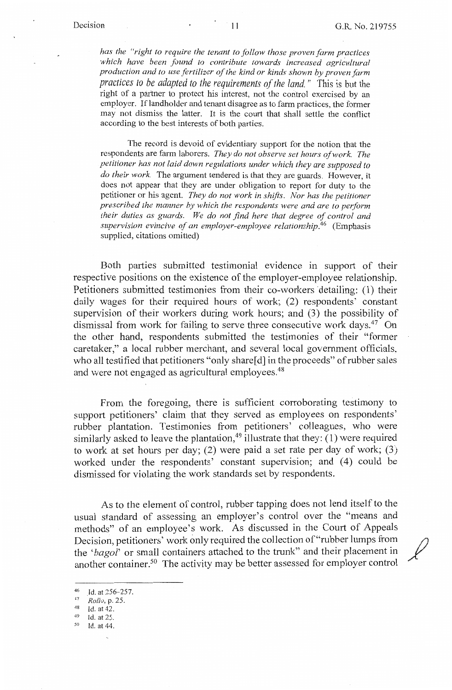*has the "right to require the tenant to follow those proven farm practices*  which have been found to contribute towards increased agricultural *production and to use fertilizer of the kind or kinds shown by proven farm practices to be adapted to the requirements of the land* " This is but the right of a partner to protect his interest, not the control exercised by an employer. Iflandholder and tenant disagree as to farm practices, the former may not dismiss the latter. It is the court that shall settle the conflict according to the best interests of both parties.

The record is devoid of evidentiary support for the notion that the respondents are farm laborers. *They do not observe set hours of work. The petitioner has not laid down regulations under which they are supposed to do their work.* The argument tendered is that they are guards. However, it does not appear that they are under obligation to report for duty to the petitioner or his agent. *They do not work in shifts. Nor has the petitioner prescribed the manner by which the respondents were and are to perform their duties as guards. We do not find here that degree of control and supervision evincive of an employer-employee relationship.46* (Emphasis supplied, citations omitted)

Both parties submitted testimonial evidence in support of their respective positions on the existence of the employer-employee relationship. Petitioners submitted testimonies from their co-workers detailing: (1) their daily wages for their required hours of work; (2) respondents' constant supervision of their workers during work hours; and (3) the possibility of dismissal from work for failing to serve three consecutive work days.<sup>47</sup> On the other hand, respondents submitted the testimonies of their "former caretaker," a local rubber merchant, and several local government officials, who all testified that petitioners "only share[d] in the proceeds" of rubber sales and were not engaged as agricultural employees.<sup>48</sup>

From the foregoing, there is sufficient corroborating testimony to support petitioners' claim that they served as employees on respondents' rubber plantation. Testimonies from petitioners' colleagues, who were similarly asked to leave the plantation,<sup>49</sup> illustrate that they: (1) were required to work at set hours per day; (2) were paid a set rate per day of work; (3) worked under the respondents' constant supervision; and (4) could be dismissed for violating the work standards set by respondents.

As to the element of control, rubber tapping does not lend itself to the usual standard of assessing an employer's control over the "means and methods" of an employee's work. As discussed in the Court of Appeals Decision, petitioners' work only required the collection of "rubber lumps from */}*  the 'bagol' or small containers attached to the trunk" and their placement in another container. 50 The activity may be better assessed for employer control

- 
- 
- 

<sup>46</sup> Id. at 256-257.<br>
<sup>47</sup> *Rollo*, p. 25.<br>
<sup>48</sup> Id. at 42.<br>
<sup>49</sup> Id. at 25.<br>
<sup>50</sup> Id. at 44.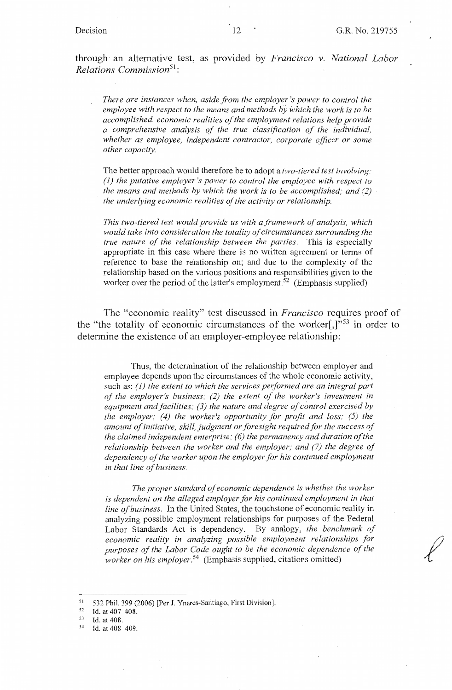through an alternative test, as provided by *Francisco v. National Labor Relations Commission*<sup>51</sup> :

*There are instances when, aside from the employer's power to control the employee with respect to the means and methods by which the work is to be accomplished, economic realities of the employment relations help provide a comprehensive analysis of the true classification of the individual, whether as employee, independent contractor, corporate officer or some other capacity.* 

The better approach would therefore be to adopt a *two-tiered test involving: (1) the putative employer's power to control the employee with respect to the means and methods by which the work is to be accomplished: and (2) the underlying economic realities of the activity or relationship.* 

*This two-tiered test would provide us with a framework of analysis, which would take into consideration the totality of circumstances surrounding the true nature of the relationship between the parties.* This is especially appropriate in this case where there is no written agreement or terms of reference to base the relationship on; and due to the complexity of the relationship based on the various positions and responsibilities given to the worker over the period of the latter's employment.<sup>52</sup> (Emphasis supplied)

The "economic reality" test discussed in *Francisco* requires proof of the "the totality of economic circumstances of the worker[,]"<sup>53</sup> in order to determine the existence of an employer-employee relationship:

Thus, the determination of the relationship between employer and employee depends upon the circumstances of the whole economic activity, such as: (1) the extent to which the services performed are an integral part *of the employer's business,· (2) the extent of the worker's investment in equipment and facilities; (3) the nature and degree of control exercised by the employer; (4) the worker's opportunity for profit and loss; (5) the amount of initiative, skill, judgment or foresight required for the success of the claimed independent enterprise; (6) the permanency and duration of the relationship between the worker and the employer; and (7) the degree of dependency of the worker upon the employer for his continued employment in that line o\_f business.* 

*The proper standard o\_f economic dependence is whether the worker is dependent on the alleged employer for his continued employment in that line of business.* In the United States, the touchstone of economic reality in analyzing possible employment relationships for purposes of the Federal Labor Standards Act is dependency. By analogy, the benchmark of *economic reality in analyzing possible employment relationships for purposes of the Labor Code ought to be the economic dependence of the worker on his employer.*<sup>54</sup> (Emphasis supplied, citations omitted)

<sup>51 532</sup> Phil. 399 (2006) [Per J. Ynares-Santiago, First Division].<br>
52 Id. at 407–408.<br>
53 Id. at 408.<br>
54 Id. at 408–409.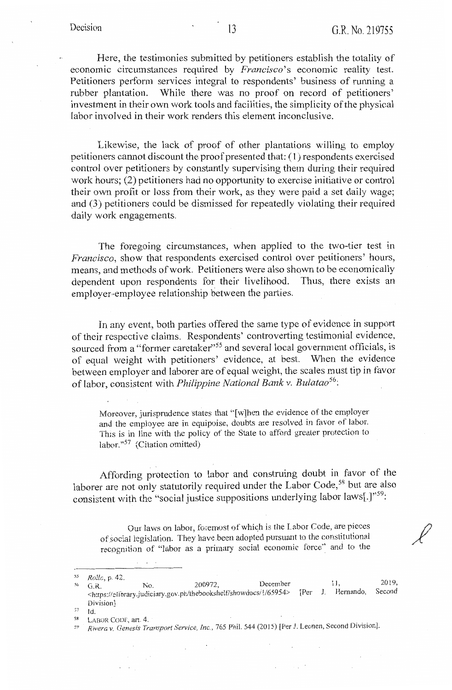Here, the testimonies submitted by petitioners establish the totality of economic circumstances required by *Francisco's* economic reality test. Petitioners perform services integral to respondents' business of running a rubber plantation. While there was no proof on record of petitioners' investment in their own work tools and facilities, the simplicity of the physical labor involved in their work renders this element inconclusive.

Likewise, the lack of proof of other plantations willing to employ petitioners cannot discount the proof presented that: (1) respondents exercised control over petitioners by constantly supervising them during their required work hours; (2) petitioners had no opportunity to exercise initiative or control their own profit or loss from their work, as they were paid a set daily wage; and (3) petitioners could be dismissed for repeatedly violating their required daily work engagements.

The foregoing circumstances, when applied to the two-tier test in *Francisco,* show that respondents exercised control over petitioners' hours, means, and methods of work. Petitioners were also shown to be economically dependent upon respondents for their livelihood. Thus, there exists an dependent upon respondents for their livelihood. employer-employee relationship between the parties.

In any event, both parties offered the same type of evidence in support of their respective claims. Respondents' controverting testimonial evidence, sourced from a "former caretaker"<sup>55</sup> and several local government officials, is of equal weight with petitioners' evidence, at best. When the evidence between employer and laborer are of equal weight, the scales must tip in favor of labor, consi\_stent with *Philippine National Bank v. Bulatao<sup>56</sup> :* 

Moreover, jurisprudence states that "[w]hen the evidence of the employer and the employee are in equipoise, doubts are resolved in favor of labor. This is in line with the policy of the State to afford greater protection to labor."57 (Citation omitted)

Affording protection to labor and construing doubt in favor of the laborer are not only statutorily required under the Labor Code,<sup>58</sup> but are also consistent with the "social justice suppositions underlying labor laws[.]"<sup>59</sup>:

Our laws on labor, foremost of which is the Labor Code, are pieces ofsocial legislation. They have been adopted pursuant to the constitutional recognition of "labor as a primary social economic force" and to the

 $\sim 10^{-4}$  m

- *57* Id.
- <sup>58</sup> LABOR CODE, art. 4.

 $\sim$  .

09 *Rivera v. Genesis Transport Service, Inc.,* 765 Phil. 544 (2015) [Per J. Leonen, Second Division].

<sup>&</sup>lt;sup>55</sup> Rolle, p. 42.<br><sup>56</sup> G.R. No. 200972, December 11, 2019, State of the state of the term of the bookshelt/showdocs/1/65954> [Per J. Hernando, Second Division]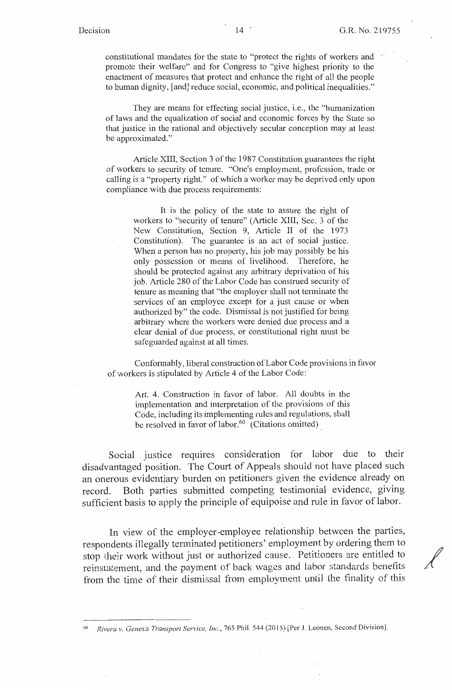./

constitutional mandates for the state to "protect the rights of workers and promote their welfare" and for Congress to "give highest priority to the enactment of measures that protect and enhance the right of all the people to human dignity, [and] reduce social, economic, and political inequalities."

They are means for effecting social justice, i.e., the "humanization of laws and the equalization of social and economic forces by the State so that justice in the rational and objectively secular conception may at least be approximated."

Article XIII, Section 3 of the 1987 Constitution guarantees the right of workers to security of tenure. "One's employment, profession, trade or calling is a "property right," of which a worker may be deprived only upon compliance with due process requirements:

It is the policy of the state to assure the right of workers to "security of tenure" (Article XIII, Sec. 3 of the New Constitution, Section 9, Article II of the 1973 Constitution). The guarantee is an act of social justice. When a person has no property, his job may possibly be his only possession or means of livelihood. Therefore, he should be protected against any arbitrary deprivation of his job. Article 280 of the Labor Code has construed security of tenure as meaning that "the employer shall not tenninate the services of an employee except for a just cause or when authorized by" the code. Dismissal is not justified for being arbitrary where the workers were denied due process and a clear denial of due process, or constitutional right must be safeguarded against at all times.

Conformably, liberal construction of Labor Code provisions in favor of workers is stipulated by Article 4 of the Labor Code:

> Art. 4. Construction in favor of labor. AU doubts in the implementation and interpretation of the provisions of this Code, including its implementing rules and regulations, shall be resolved in favor of labor.<sup>60</sup> (Citations omitted)

Social justice requires consideration for labor due to their disadvantaged position. The Court of Appeals should not have placed such an onerous evidentiary burden on petitioners given the evidence already on record. Both parties submitted competing testimonial evidence, giving sufficient basis to apply the principle of equipoise and rule in favor of labor.

In view of the employer-employee relationship. between the parties, respondents illegally terminated petitioners' employment by ordering them to stop their work without just or authorized cause. Petitioners are entitled to reinstatement, and the payment of back wages and labor standards benefits from the time of their dismissal from employment until the finality of this

Rivera v. Genesis Transport Service, Inc., 765 Phil. 544 (2015) [Per J. Leonen, Second Division].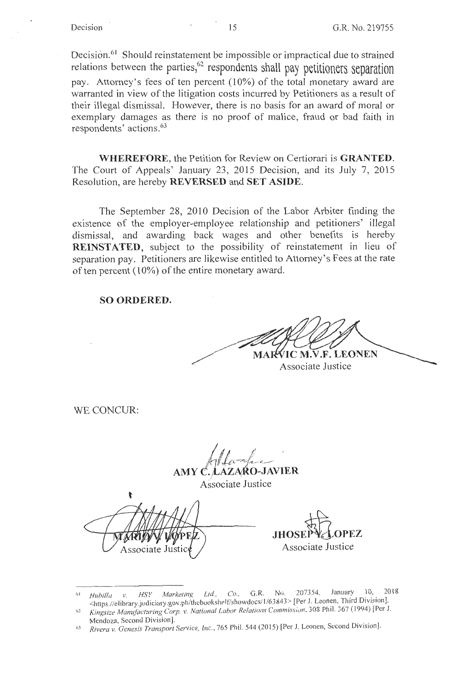Decision.<sup>61</sup> Should reinstatement be impossible or impractical due to strained relations between the parties,<sup>62</sup> respondents shall pay petitioners separation pay. Attorney's fees of ten percent (10%) of the total monetary award are warranted in view of the litigation costs incurred by Petitioners as a result of their illegal dismissal. However, there is no basis for an award of moral or exemplary damages as there is no proof of malice, fraud or bad faith in respondents' actions.63

**WHEREFORE,** the Petition for Review on Certiorari is **GRANTED.**  The Court of Appeals' January 23, 2015 Decision, and its July 7, 2015 Resolution, are hereby **REVERSED** and **SET ASIDE.** 

The September 28, 2010 Decision of the Labor Arbiter finding the existence of the employer-employee relationship and petitioners' illegal dismissal, and awarding back wages and other benefits is hereby **REINSTATED,** subject to the possibility of reinstatement in lieu of separation pay. Petitioners are likewise entitled to Attorney's Fees at the rate of ten percent ( 10%) of the entire monetary award.

#### **SO ORDERED.**

MARVIC M.V.F. LEONEN

Associate Justice

WE CONCUR:

AMY C. LAZARO-JAVIER Associate Justice

Associate Just

**JHOSE** Associate Justice

<sup>1•1</sup> *Huhi/la v. HSY Marketinx* Ltd. , *Co,* G.R. No. 207354, January I 0, 20 18 <https://elibrary.judiciary.gov.ph/thebookshelf/showdocs/1/63843> [Per J. Leonen, Third Division].

<sup>1,2</sup> *Kingsize Manufacturing Corp. v. National Labor Relations Commission,* 303 Phil. 367 ( 1994) [Per J. Mendoza, Second Division].

<sup>6</sup>J *Rivera v. Genesis Transport Service, Inc.,* 765 Phil. 544 (2015) [Per J. Leonen, Second Division].